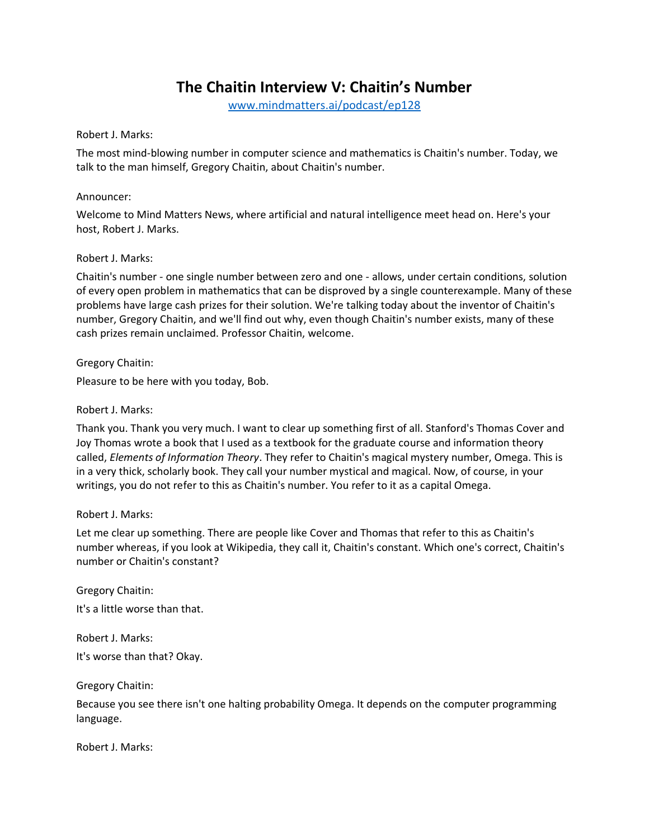# **The Chaitin Interview V: Chaitin's Number**

[www.mindmatters.ai/podcast/ep128](http://www.mindmatters.ai/podcast/ep128)

Robert J. Marks:

The most mind-blowing number in computer science and mathematics is Chaitin's number. Today, we talk to the man himself, Gregory Chaitin, about Chaitin's number.

#### Announcer:

Welcome to Mind Matters News, where artificial and natural intelligence meet head on. Here's your host, Robert J. Marks.

### Robert J. Marks:

Chaitin's number - one single number between zero and one - allows, under certain conditions, solution of every open problem in mathematics that can be disproved by a single counterexample. Many of these problems have large cash prizes for their solution. We're talking today about the inventor of Chaitin's number, Gregory Chaitin, and we'll find out why, even though Chaitin's number exists, many of these cash prizes remain unclaimed. Professor Chaitin, welcome.

Gregory Chaitin:

Pleasure to be here with you today, Bob.

#### Robert J. Marks:

Thank you. Thank you very much. I want to clear up something first of all. Stanford's Thomas Cover and Joy Thomas wrote a book that I used as a textbook for the graduate course and information theory called, *Elements of Information Theory*. They refer to Chaitin's magical mystery number, Omega. This is in a very thick, scholarly book. They call your number mystical and magical. Now, of course, in your writings, you do not refer to this as Chaitin's number. You refer to it as a capital Omega.

### Robert J. Marks:

Let me clear up something. There are people like Cover and Thomas that refer to this as Chaitin's number whereas, if you look at Wikipedia, they call it, Chaitin's constant. Which one's correct, Chaitin's number or Chaitin's constant?

Gregory Chaitin: It's a little worse than that.

Robert J. Marks: It's worse than that? Okay.

Gregory Chaitin:

Because you see there isn't one halting probability Omega. It depends on the computer programming language.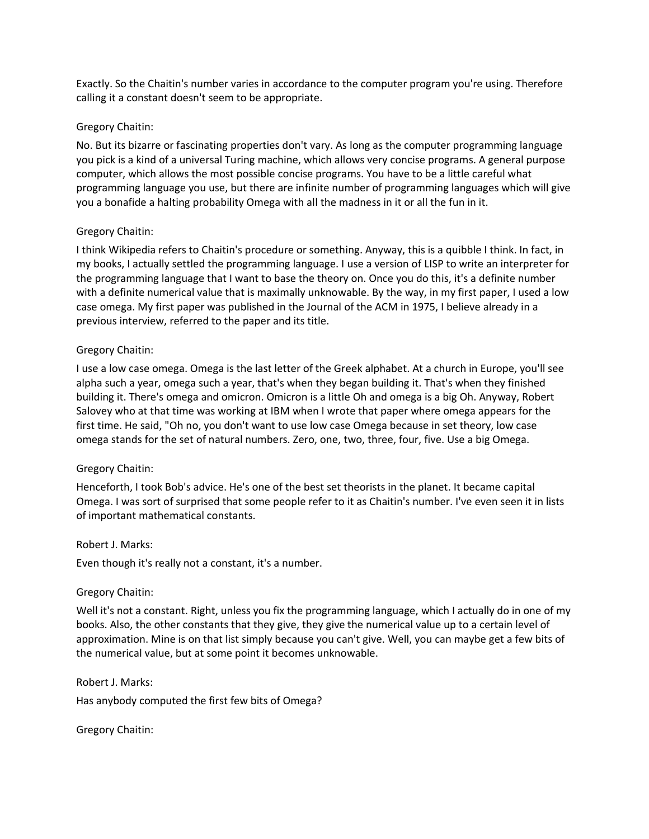Exactly. So the Chaitin's number varies in accordance to the computer program you're using. Therefore calling it a constant doesn't seem to be appropriate.

### Gregory Chaitin:

No. But its bizarre or fascinating properties don't vary. As long as the computer programming language you pick is a kind of a universal Turing machine, which allows very concise programs. A general purpose computer, which allows the most possible concise programs. You have to be a little careful what programming language you use, but there are infinite number of programming languages which will give you a bonafide a halting probability Omega with all the madness in it or all the fun in it.

# Gregory Chaitin:

I think Wikipedia refers to Chaitin's procedure or something. Anyway, this is a quibble I think. In fact, in my books, I actually settled the programming language. I use a version of LISP to write an interpreter for the programming language that I want to base the theory on. Once you do this, it's a definite number with a definite numerical value that is maximally unknowable. By the way, in my first paper, I used a low case omega. My first paper was published in the Journal of the ACM in 1975, I believe already in a previous interview, referred to the paper and its title.

# Gregory Chaitin:

I use a low case omega. Omega is the last letter of the Greek alphabet. At a church in Europe, you'll see alpha such a year, omega such a year, that's when they began building it. That's when they finished building it. There's omega and omicron. Omicron is a little Oh and omega is a big Oh. Anyway, Robert Salovey who at that time was working at IBM when I wrote that paper where omega appears for the first time. He said, "Oh no, you don't want to use low case Omega because in set theory, low case omega stands for the set of natural numbers. Zero, one, two, three, four, five. Use a big Omega.

# Gregory Chaitin:

Henceforth, I took Bob's advice. He's one of the best set theorists in the planet. It became capital Omega. I was sort of surprised that some people refer to it as Chaitin's number. I've even seen it in lists of important mathematical constants.

### Robert J. Marks:

Even though it's really not a constant, it's a number.

### Gregory Chaitin:

Well it's not a constant. Right, unless you fix the programming language, which I actually do in one of my books. Also, the other constants that they give, they give the numerical value up to a certain level of approximation. Mine is on that list simply because you can't give. Well, you can maybe get a few bits of the numerical value, but at some point it becomes unknowable.

### Robert J. Marks:

Has anybody computed the first few bits of Omega?

Gregory Chaitin: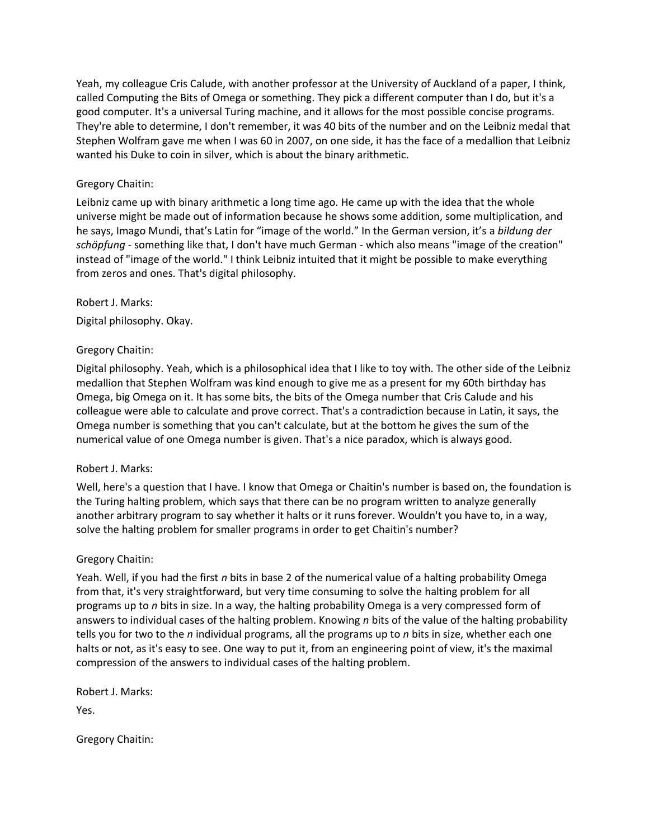Yeah, my colleague Cris Calude, with another professor at the University of Auckland of a paper, I think, called Computing the Bits of Omega or something. They pick a different computer than I do, but it's a good computer. It's a universal Turing machine, and it allows for the most possible concise programs. They're able to determine, I don't remember, it was 40 bits of the number and on the Leibniz medal that Stephen Wolfram gave me when I was 60 in 2007, on one side, it has the face of a medallion that Leibniz wanted his Duke to coin in silver, which is about the binary arithmetic.

# Gregory Chaitin:

Leibniz came up with binary arithmetic a long time ago. He came up with the idea that the whole universe might be made out of information because he shows some addition, some multiplication, and he says, Imago Mundi, that's Latin for "image of the world." In the German version, it's a *bildung der schöpfung* - something like that, I don't have much German - which also means "image of the creation" instead of "image of the world." I think Leibniz intuited that it might be possible to make everything from zeros and ones. That's digital philosophy.

### Robert J. Marks:

Digital philosophy. Okay.

### Gregory Chaitin:

Digital philosophy. Yeah, which is a philosophical idea that I like to toy with. The other side of the Leibniz medallion that Stephen Wolfram was kind enough to give me as a present for my 60th birthday has Omega, big Omega on it. It has some bits, the bits of the Omega number that Cris Calude and his colleague were able to calculate and prove correct. That's a contradiction because in Latin, it says, the Omega number is something that you can't calculate, but at the bottom he gives the sum of the numerical value of one Omega number is given. That's a nice paradox, which is always good.

### Robert J. Marks:

Well, here's a question that I have. I know that Omega or Chaitin's number is based on, the foundation is the Turing halting problem, which says that there can be no program written to analyze generally another arbitrary program to say whether it halts or it runs forever. Wouldn't you have to, in a way, solve the halting problem for smaller programs in order to get Chaitin's number?

### Gregory Chaitin:

Yeah. Well, if you had the first *n* bits in base 2 of the numerical value of a halting probability Omega from that, it's very straightforward, but very time consuming to solve the halting problem for all programs up to *n* bits in size. In a way, the halting probability Omega is a very compressed form of answers to individual cases of the halting problem. Knowing *n* bits of the value of the halting probability tells you for two to the *n* individual programs, all the programs up to *n* bits in size, whether each one halts or not, as it's easy to see. One way to put it, from an engineering point of view, it's the maximal compression of the answers to individual cases of the halting problem.

Robert J. Marks:

Yes.

Gregory Chaitin: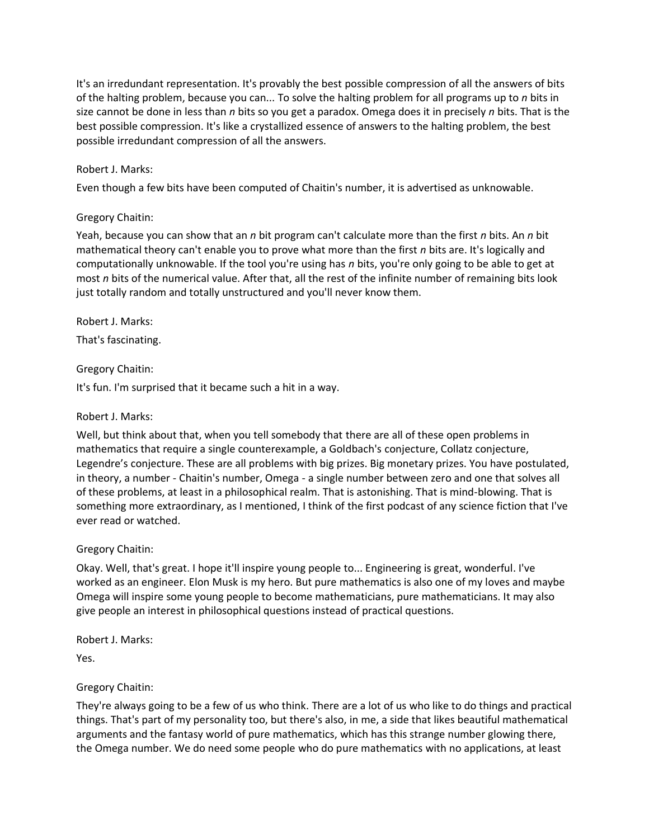It's an irredundant representation. It's provably the best possible compression of all the answers of bits of the halting problem, because you can... To solve the halting problem for all programs up to *n* bits in size cannot be done in less than *n* bits so you get a paradox. Omega does it in precisely *n* bits. That is the best possible compression. It's like a crystallized essence of answers to the halting problem, the best possible irredundant compression of all the answers.

# Robert J. Marks:

Even though a few bits have been computed of Chaitin's number, it is advertised as unknowable.

# Gregory Chaitin:

Yeah, because you can show that an *n* bit program can't calculate more than the first *n* bits. An *n* bit mathematical theory can't enable you to prove what more than the first *n* bits are. It's logically and computationally unknowable. If the tool you're using has *n* bits, you're only going to be able to get at most *n* bits of the numerical value. After that, all the rest of the infinite number of remaining bits look just totally random and totally unstructured and you'll never know them.

Robert J. Marks:

That's fascinating.

# Gregory Chaitin:

It's fun. I'm surprised that it became such a hit in a way.

# Robert J. Marks:

Well, but think about that, when you tell somebody that there are all of these open problems in mathematics that require a single counterexample, a Goldbach's conjecture, Collatz conjecture, Legendre's conjecture. These are all problems with big prizes. Big monetary prizes. You have postulated, in theory, a number - Chaitin's number, Omega - a single number between zero and one that solves all of these problems, at least in a philosophical realm. That is astonishing. That is mind-blowing. That is something more extraordinary, as I mentioned, I think of the first podcast of any science fiction that I've ever read or watched.

### Gregory Chaitin:

Okay. Well, that's great. I hope it'll inspire young people to... Engineering is great, wonderful. I've worked as an engineer. Elon Musk is my hero. But pure mathematics is also one of my loves and maybe Omega will inspire some young people to become mathematicians, pure mathematicians. It may also give people an interest in philosophical questions instead of practical questions.

Robert J. Marks:

Yes.

# Gregory Chaitin:

They're always going to be a few of us who think. There are a lot of us who like to do things and practical things. That's part of my personality too, but there's also, in me, a side that likes beautiful mathematical arguments and the fantasy world of pure mathematics, which has this strange number glowing there, the Omega number. We do need some people who do pure mathematics with no applications, at least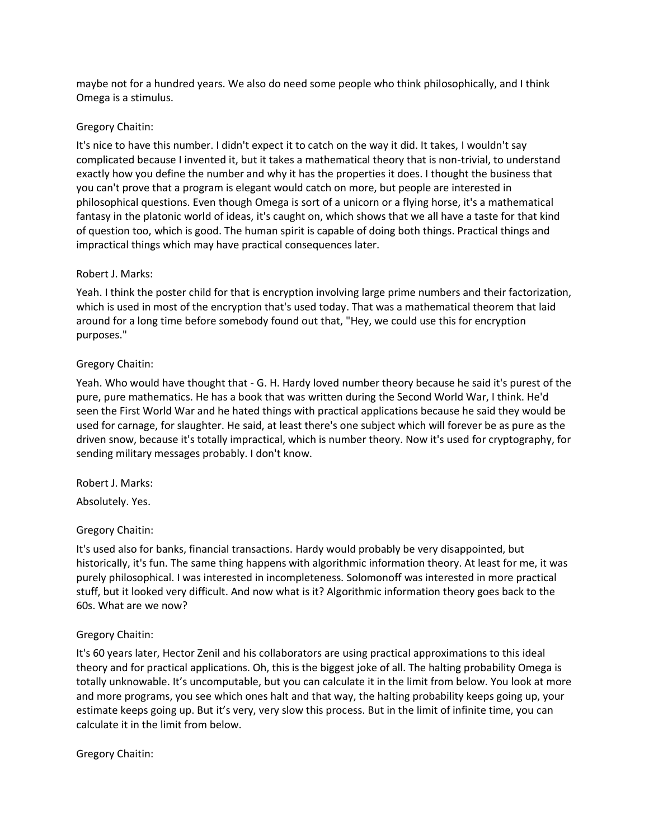maybe not for a hundred years. We also do need some people who think philosophically, and I think Omega is a stimulus.

# Gregory Chaitin:

It's nice to have this number. I didn't expect it to catch on the way it did. It takes, I wouldn't say complicated because I invented it, but it takes a mathematical theory that is non-trivial, to understand exactly how you define the number and why it has the properties it does. I thought the business that you can't prove that a program is elegant would catch on more, but people are interested in philosophical questions. Even though Omega is sort of a unicorn or a flying horse, it's a mathematical fantasy in the platonic world of ideas, it's caught on, which shows that we all have a taste for that kind of question too, which is good. The human spirit is capable of doing both things. Practical things and impractical things which may have practical consequences later.

# Robert J. Marks:

Yeah. I think the poster child for that is encryption involving large prime numbers and their factorization, which is used in most of the encryption that's used today. That was a mathematical theorem that laid around for a long time before somebody found out that, "Hey, we could use this for encryption purposes."

# Gregory Chaitin:

Yeah. Who would have thought that - G. H. Hardy loved number theory because he said it's purest of the pure, pure mathematics. He has a book that was written during the Second World War, I think. He'd seen the First World War and he hated things with practical applications because he said they would be used for carnage, for slaughter. He said, at least there's one subject which will forever be as pure as the driven snow, because it's totally impractical, which is number theory. Now it's used for cryptography, for sending military messages probably. I don't know.

### Robert J. Marks:

Absolutely. Yes.

# Gregory Chaitin:

It's used also for banks, financial transactions. Hardy would probably be very disappointed, but historically, it's fun. The same thing happens with algorithmic information theory. At least for me, it was purely philosophical. I was interested in incompleteness. Solomonoff was interested in more practical stuff, but it looked very difficult. And now what is it? Algorithmic information theory goes back to the 60s. What are we now?

# Gregory Chaitin:

It's 60 years later, Hector Zenil and his collaborators are using practical approximations to this ideal theory and for practical applications. Oh, this is the biggest joke of all. The halting probability Omega is totally unknowable. It's uncomputable, but you can calculate it in the limit from below. You look at more and more programs, you see which ones halt and that way, the halting probability keeps going up, your estimate keeps going up. But it's very, very slow this process. But in the limit of infinite time, you can calculate it in the limit from below.

Gregory Chaitin: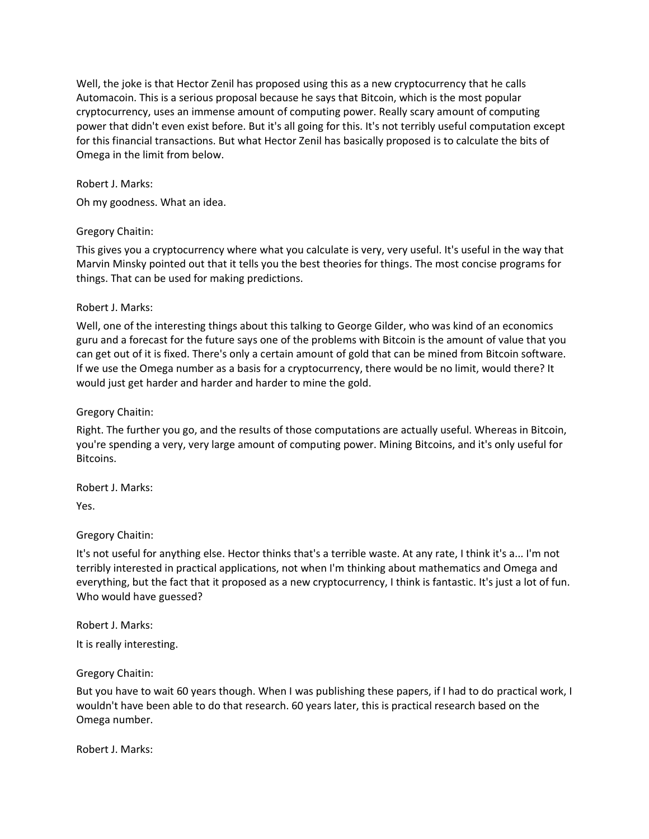Well, the joke is that Hector Zenil has proposed using this as a new cryptocurrency that he calls Automacoin. This is a serious proposal because he says that Bitcoin, which is the most popular cryptocurrency, uses an immense amount of computing power. Really scary amount of computing power that didn't even exist before. But it's all going for this. It's not terribly useful computation except for this financial transactions. But what Hector Zenil has basically proposed is to calculate the bits of Omega in the limit from below.

### Robert J. Marks:

Oh my goodness. What an idea.

#### Gregory Chaitin:

This gives you a cryptocurrency where what you calculate is very, very useful. It's useful in the way that Marvin Minsky pointed out that it tells you the best theories for things. The most concise programs for things. That can be used for making predictions.

#### Robert J. Marks:

Well, one of the interesting things about this talking to George Gilder, who was kind of an economics guru and a forecast for the future says one of the problems with Bitcoin is the amount of value that you can get out of it is fixed. There's only a certain amount of gold that can be mined from Bitcoin software. If we use the Omega number as a basis for a cryptocurrency, there would be no limit, would there? It would just get harder and harder and harder to mine the gold.

Gregory Chaitin:

Right. The further you go, and the results of those computations are actually useful. Whereas in Bitcoin, you're spending a very, very large amount of computing power. Mining Bitcoins, and it's only useful for Bitcoins.

Robert J. Marks:

Yes.

### Gregory Chaitin:

It's not useful for anything else. Hector thinks that's a terrible waste. At any rate, I think it's a... I'm not terribly interested in practical applications, not when I'm thinking about mathematics and Omega and everything, but the fact that it proposed as a new cryptocurrency, I think is fantastic. It's just a lot of fun. Who would have guessed?

Robert J. Marks:

It is really interesting.

Gregory Chaitin:

But you have to wait 60 years though. When I was publishing these papers, if I had to do practical work, I wouldn't have been able to do that research. 60 years later, this is practical research based on the Omega number.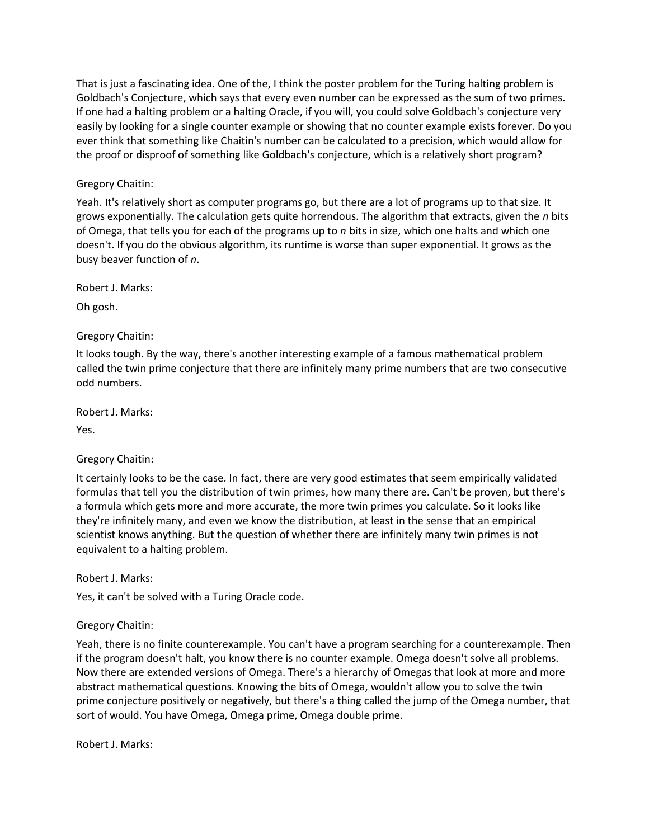That is just a fascinating idea. One of the, I think the poster problem for the Turing halting problem is Goldbach's Conjecture, which says that every even number can be expressed as the sum of two primes. If one had a halting problem or a halting Oracle, if you will, you could solve Goldbach's conjecture very easily by looking for a single counter example or showing that no counter example exists forever. Do you ever think that something like Chaitin's number can be calculated to a precision, which would allow for the proof or disproof of something like Goldbach's conjecture, which is a relatively short program?

# Gregory Chaitin:

Yeah. It's relatively short as computer programs go, but there are a lot of programs up to that size. It grows exponentially. The calculation gets quite horrendous. The algorithm that extracts, given the *n* bits of Omega, that tells you for each of the programs up to *n* bits in size, which one halts and which one doesn't. If you do the obvious algorithm, its runtime is worse than super exponential. It grows as the busy beaver function of *n*.

Robert J. Marks:

Oh gosh.

### Gregory Chaitin:

It looks tough. By the way, there's another interesting example of a famous mathematical problem called the twin prime conjecture that there are infinitely many prime numbers that are two consecutive odd numbers.

Robert J. Marks:

Yes.

### Gregory Chaitin:

It certainly looks to be the case. In fact, there are very good estimates that seem empirically validated formulas that tell you the distribution of twin primes, how many there are. Can't be proven, but there's a formula which gets more and more accurate, the more twin primes you calculate. So it looks like they're infinitely many, and even we know the distribution, at least in the sense that an empirical scientist knows anything. But the question of whether there are infinitely many twin primes is not equivalent to a halting problem.

Robert J. Marks:

Yes, it can't be solved with a Turing Oracle code.

### Gregory Chaitin:

Yeah, there is no finite counterexample. You can't have a program searching for a counterexample. Then if the program doesn't halt, you know there is no counter example. Omega doesn't solve all problems. Now there are extended versions of Omega. There's a hierarchy of Omegas that look at more and more abstract mathematical questions. Knowing the bits of Omega, wouldn't allow you to solve the twin prime conjecture positively or negatively, but there's a thing called the jump of the Omega number, that sort of would. You have Omega, Omega prime, Omega double prime.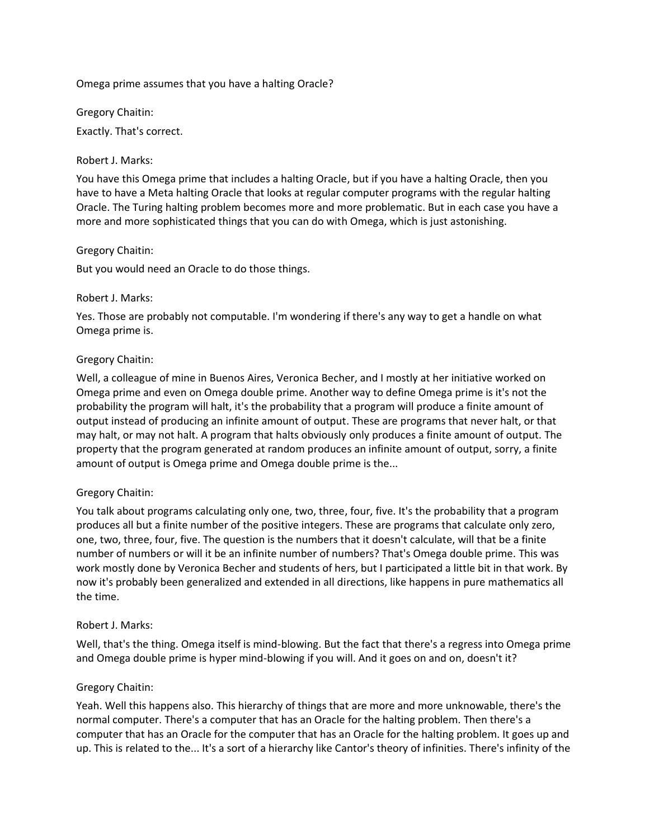Omega prime assumes that you have a halting Oracle?

Gregory Chaitin:

Exactly. That's correct.

### Robert J. Marks:

You have this Omega prime that includes a halting Oracle, but if you have a halting Oracle, then you have to have a Meta halting Oracle that looks at regular computer programs with the regular halting Oracle. The Turing halting problem becomes more and more problematic. But in each case you have a more and more sophisticated things that you can do with Omega, which is just astonishing.

#### Gregory Chaitin:

But you would need an Oracle to do those things.

#### Robert J. Marks:

Yes. Those are probably not computable. I'm wondering if there's any way to get a handle on what Omega prime is.

#### Gregory Chaitin:

Well, a colleague of mine in Buenos Aires, Veronica Becher, and I mostly at her initiative worked on Omega prime and even on Omega double prime. Another way to define Omega prime is it's not the probability the program will halt, it's the probability that a program will produce a finite amount of output instead of producing an infinite amount of output. These are programs that never halt, or that may halt, or may not halt. A program that halts obviously only produces a finite amount of output. The property that the program generated at random produces an infinite amount of output, sorry, a finite amount of output is Omega prime and Omega double prime is the...

### Gregory Chaitin:

You talk about programs calculating only one, two, three, four, five. It's the probability that a program produces all but a finite number of the positive integers. These are programs that calculate only zero, one, two, three, four, five. The question is the numbers that it doesn't calculate, will that be a finite number of numbers or will it be an infinite number of numbers? That's Omega double prime. This was work mostly done by Veronica Becher and students of hers, but I participated a little bit in that work. By now it's probably been generalized and extended in all directions, like happens in pure mathematics all the time.

### Robert J. Marks:

Well, that's the thing. Omega itself is mind-blowing. But the fact that there's a regress into Omega prime and Omega double prime is hyper mind-blowing if you will. And it goes on and on, doesn't it?

### Gregory Chaitin:

Yeah. Well this happens also. This hierarchy of things that are more and more unknowable, there's the normal computer. There's a computer that has an Oracle for the halting problem. Then there's a computer that has an Oracle for the computer that has an Oracle for the halting problem. It goes up and up. This is related to the... It's a sort of a hierarchy like Cantor's theory of infinities. There's infinity of the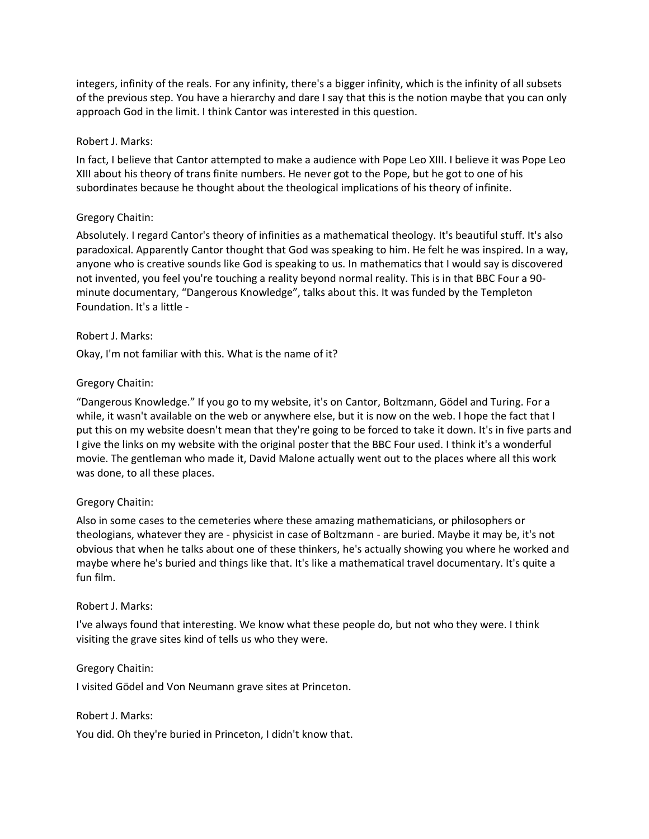integers, infinity of the reals. For any infinity, there's a bigger infinity, which is the infinity of all subsets of the previous step. You have a hierarchy and dare I say that this is the notion maybe that you can only approach God in the limit. I think Cantor was interested in this question.

#### Robert J. Marks:

In fact, I believe that Cantor attempted to make a audience with Pope Leo XIII. I believe it was Pope Leo XIII about his theory of trans finite numbers. He never got to the Pope, but he got to one of his subordinates because he thought about the theological implications of his theory of infinite.

### Gregory Chaitin:

Absolutely. I regard Cantor's theory of infinities as a mathematical theology. It's beautiful stuff. It's also paradoxical. Apparently Cantor thought that God was speaking to him. He felt he was inspired. In a way, anyone who is creative sounds like God is speaking to us. In mathematics that I would say is discovered not invented, you feel you're touching a reality beyond normal reality. This is in that BBC Four a 90 minute documentary, "Dangerous Knowledge", talks about this. It was funded by the Templeton Foundation. It's a little -

#### Robert J. Marks:

Okay, I'm not familiar with this. What is the name of it?

#### Gregory Chaitin:

"Dangerous Knowledge." If you go to my website, it's on Cantor, Boltzmann, Gödel and Turing. For a while, it wasn't available on the web or anywhere else, but it is now on the web. I hope the fact that I put this on my website doesn't mean that they're going to be forced to take it down. It's in five parts and I give the links on my website with the original poster that the BBC Four used. I think it's a wonderful movie. The gentleman who made it, David Malone actually went out to the places where all this work was done, to all these places.

#### Gregory Chaitin:

Also in some cases to the cemeteries where these amazing mathematicians, or philosophers or theologians, whatever they are - physicist in case of Boltzmann - are buried. Maybe it may be, it's not obvious that when he talks about one of these thinkers, he's actually showing you where he worked and maybe where he's buried and things like that. It's like a mathematical travel documentary. It's quite a fun film.

#### Robert J. Marks:

I've always found that interesting. We know what these people do, but not who they were. I think visiting the grave sites kind of tells us who they were.

#### Gregory Chaitin:

I visited Gödel and Von Neumann grave sites at Princeton.

#### Robert J. Marks:

You did. Oh they're buried in Princeton, I didn't know that.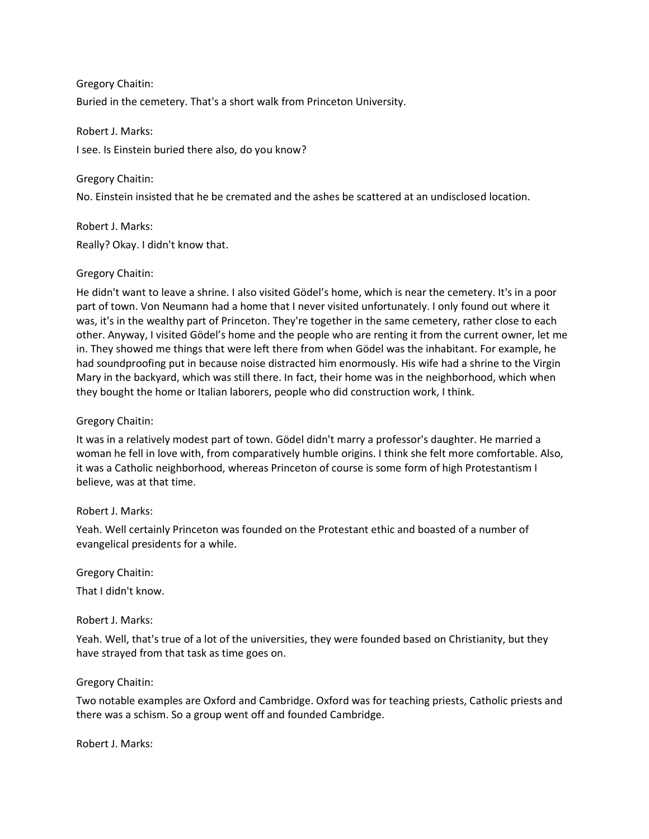Gregory Chaitin: Buried in the cemetery. That's a short walk from Princeton University.

Robert J. Marks: I see. Is Einstein buried there also, do you know?

Gregory Chaitin:

No. Einstein insisted that he be cremated and the ashes be scattered at an undisclosed location.

Robert J. Marks: Really? Okay. I didn't know that.

# Gregory Chaitin:

He didn't want to leave a shrine. I also visited Gödel's home, which is near the cemetery. It's in a poor part of town. Von Neumann had a home that I never visited unfortunately. I only found out where it was, it's in the wealthy part of Princeton. They're together in the same cemetery, rather close to each other. Anyway, I visited Gödel's home and the people who are renting it from the current owner, let me in. They showed me things that were left there from when Gödel was the inhabitant. For example, he had soundproofing put in because noise distracted him enormously. His wife had a shrine to the Virgin Mary in the backyard, which was still there. In fact, their home was in the neighborhood, which when they bought the home or Italian laborers, people who did construction work, I think.

### Gregory Chaitin:

It was in a relatively modest part of town. Gödel didn't marry a professor's daughter. He married a woman he fell in love with, from comparatively humble origins. I think she felt more comfortable. Also, it was a Catholic neighborhood, whereas Princeton of course is some form of high Protestantism I believe, was at that time.

### Robert J. Marks:

Yeah. Well certainly Princeton was founded on the Protestant ethic and boasted of a number of evangelical presidents for a while.

Gregory Chaitin:

That I didn't know.

### Robert J. Marks:

Yeah. Well, that's true of a lot of the universities, they were founded based on Christianity, but they have strayed from that task as time goes on.

### Gregory Chaitin:

Two notable examples are Oxford and Cambridge. Oxford was for teaching priests, Catholic priests and there was a schism. So a group went off and founded Cambridge.